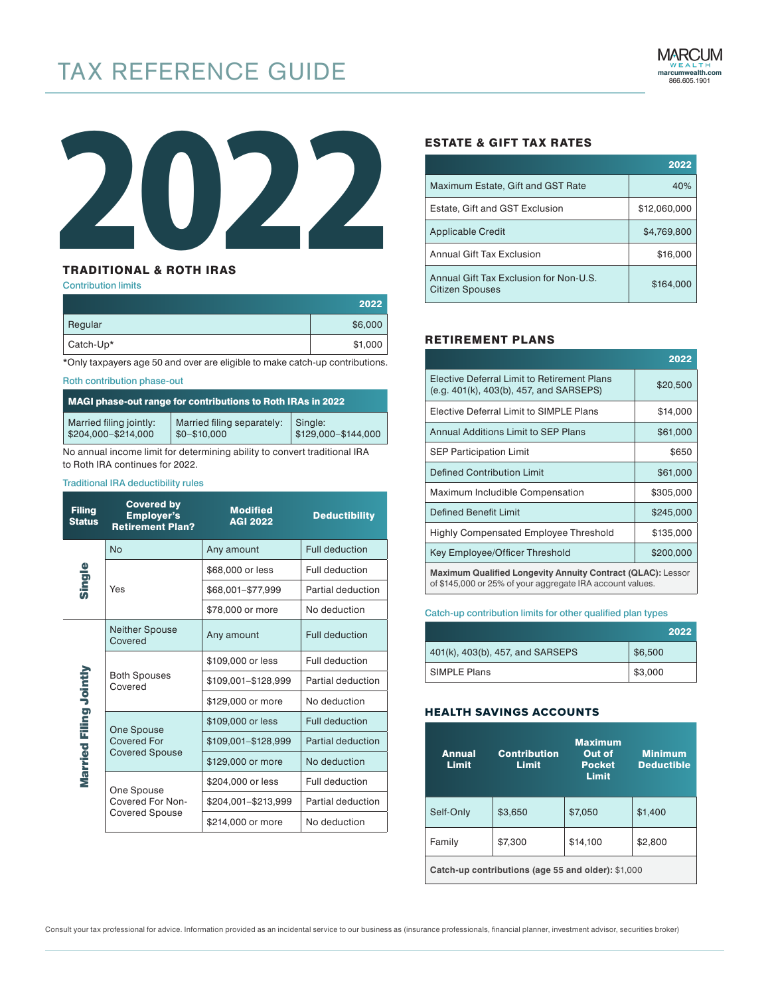# TAX REFERENCE GUIDE



## TRADITIONAL & ROTH IRAS

#### Contribution limits

|           | 2022    |
|-----------|---------|
| Regular   | \$6,000 |
| Catch-Up* | \$1,000 |

\*Only taxpayers age 50 and over are eligible to make catch-up contributions.

#### Roth contribution phase-out

| MAGI phase-out range for contributions to Roth IRAs in 2022 |                            |                     |
|-------------------------------------------------------------|----------------------------|---------------------|
| Married filing jointly:                                     | Married filing separately: | Single:             |
| \$204,000-\$214,000                                         | $$0 - $10.000$             | \$129,000-\$144,000 |

No annual income limit for determining ability to convert traditional IRA to Roth IRA continues for 2022.

## Traditional IRA deductibility rules

| <b>Filing</b><br><b>Status</b> | <b>Covered by</b><br><b>Employer's</b><br><b>Retirement Plan?</b> | <b>Modified</b><br><b>AGI 2022</b> | <b>Deductibility</b>  |
|--------------------------------|-------------------------------------------------------------------|------------------------------------|-----------------------|
|                                | <b>No</b>                                                         | Any amount                         | <b>Full deduction</b> |
|                                |                                                                   | \$68,000 or less                   | Full deduction        |
| Single                         | Yes                                                               | \$68,001-\$77,999                  | Partial deduction     |
|                                |                                                                   | \$78,000 or more                   | No deduction          |
|                                | <b>Neither Spouse</b><br>Covered                                  | Any amount                         | <b>Full deduction</b> |
|                                |                                                                   | \$109,000 or less                  | Full deduction        |
|                                | <b>Both Spouses</b><br>Covered                                    | \$109,001-\$128,999                | Partial deduction     |
|                                |                                                                   | \$129,000 or more                  | No deduction          |
| Married Filing Jointly         | One Spouse                                                        | \$109,000 or less                  | Full deduction        |
|                                | <b>Covered For</b>                                                | \$109,001-\$128,999                | Partial deduction     |
| <b>Covered Spouse</b>          |                                                                   | \$129,000 or more                  | No deduction          |
|                                | One Spouse<br>Covered For Non-                                    | \$204,000 or less                  | Full deduction        |
|                                |                                                                   | \$204,001-\$213,999                | Partial deduction     |
|                                | <b>Covered Spouse</b>                                             | \$214,000 or more                  | No deduction          |

## ESTATE & GIFT TAX RATES

|                                                           | 2022         |
|-----------------------------------------------------------|--------------|
| Maximum Estate, Gift and GST Rate                         | 40%          |
| Estate, Gift and GST Exclusion                            | \$12,060,000 |
| Applicable Credit                                         | \$4.769.800  |
| Annual Gift Tax Exclusion                                 | \$16,000     |
| Annual Gift Tax Exclusion for Non-U.S.<br>Citizen Spouses | \$164,000    |

## RETIREMENT PLANS

|                                                                                                                                 | 2022      |  |
|---------------------------------------------------------------------------------------------------------------------------------|-----------|--|
| Elective Deferral Limit to Retirement Plans<br>(e.g. 401(k), 403(b), 457, and SARSEPS)                                          | \$20,500  |  |
| Elective Deferral Limit to SIMPLE Plans                                                                                         | \$14,000  |  |
| Annual Additions Limit to SEP Plans                                                                                             | \$61,000  |  |
| <b>SEP Participation Limit</b>                                                                                                  | \$650     |  |
| <b>Defined Contribution Limit</b>                                                                                               | \$61,000  |  |
| Maximum Includible Compensation                                                                                                 | \$305,000 |  |
| <b>Defined Benefit Limit</b>                                                                                                    | \$245,000 |  |
| Highly Compensated Employee Threshold                                                                                           | \$135,000 |  |
| Key Employee/Officer Threshold                                                                                                  | \$200,000 |  |
| <b>Maximum Qualified Longevity Annuity Contract (QLAC): Lessor</b><br>of \$145,000 or 25% of your aggregate IRA account values. |           |  |

#### Catch-up contribution limits for other qualified plan types

|                                  | 2022    |
|----------------------------------|---------|
| 401(k), 403(b), 457, and SARSEPS | \$6,500 |
| <b>SIMPLE Plans</b>              | \$3,000 |

## HEALTH SAVINGS ACCOUNTS

| <b>Annual</b><br><b>Limit</b>                      | <b>Contribution</b><br>Limit | <b>Maximum</b><br>Out of<br><b>Pocket</b><br><b>Limit</b> | <b>Minimum</b><br><b>Deductible</b> |
|----------------------------------------------------|------------------------------|-----------------------------------------------------------|-------------------------------------|
| Self-Only                                          | \$3,650                      | \$7,050                                                   | \$1,400                             |
| Family                                             | \$7,300                      | \$14,100                                                  | \$2,800                             |
| Catch-up contributions (age 55 and older): \$1,000 |                              |                                                           |                                     |

Consult your tax professional for advice. Information provided as an incidental service to our business as (insurance professionals, financial planner, investment advisor, securities broker)